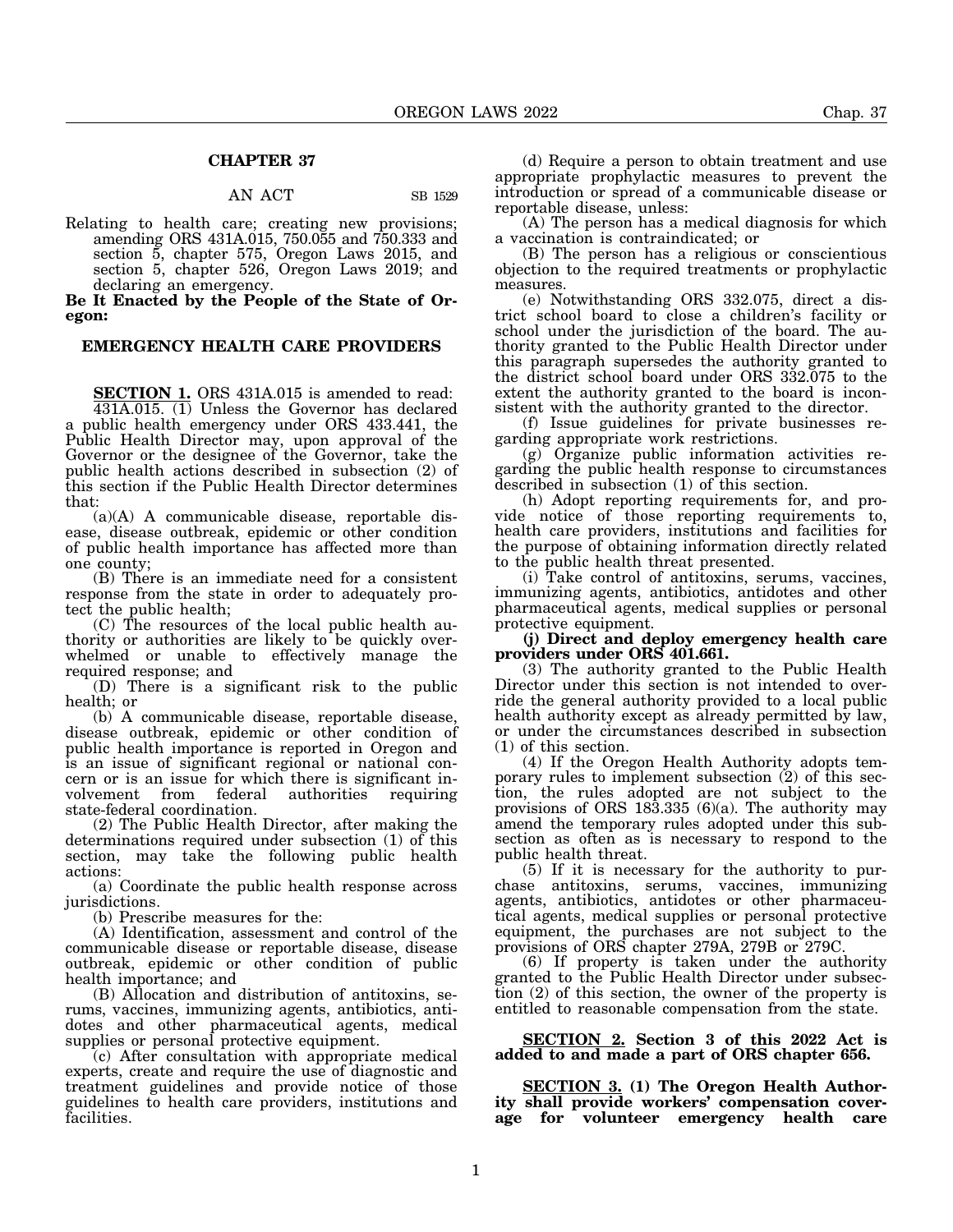## **CHAPTER 37**

### AN ACT SB 1529

Relating to health care; creating new provisions; amending ORS 431A.015, 750.055 and 750.333 and section 5, chapter 575, Oregon Laws 2015, and section 5, chapter 526, Oregon Laws 2019; and declaring an emergency.

**Be It Enacted by the People of the State of Oregon:**

## **EMERGENCY HEALTH CARE PROVIDERS**

**SECTION 1.** ORS 431A.015 is amended to read: 431A.015. (1) Unless the Governor has declared a public health emergency under ORS 433.441, the Public Health Director may, upon approval of the Governor or the designee of the Governor, take the public health actions described in subsection (2) of this section if the Public Health Director determines that:

(a)(A) A communicable disease, reportable disease, disease outbreak, epidemic or other condition of public health importance has affected more than one county;

(B) There is an immediate need for a consistent response from the state in order to adequately protect the public health;

(C) The resources of the local public health authority or authorities are likely to be quickly overwhelmed or unable to effectively manage the required response; and

(D) There is a significant risk to the public health; or

(b) A communicable disease, reportable disease, disease outbreak, epidemic or other condition of public health importance is reported in Oregon and is an issue of significant regional or national concern or is an issue for which there is significant involvement from federal authorities requiring state-federal coordination.

(2) The Public Health Director, after making the determinations required under subsection (1) of this section, may take the following public health actions:

(a) Coordinate the public health response across jurisdictions.

(b) Prescribe measures for the:

(A) Identification, assessment and control of the communicable disease or reportable disease, disease outbreak, epidemic or other condition of public health importance; and

(B) Allocation and distribution of antitoxins, serums, vaccines, immunizing agents, antibiotics, antidotes and other pharmaceutical agents, medical supplies or personal protective equipment.

(c) After consultation with appropriate medical experts, create and require the use of diagnostic and treatment guidelines and provide notice of those guidelines to health care providers, institutions and facilities.

(d) Require a person to obtain treatment and use appropriate prophylactic measures to prevent the introduction or spread of a communicable disease or reportable disease, unless:

(A) The person has a medical diagnosis for which a vaccination is contraindicated; or

(B) The person has a religious or conscientious objection to the required treatments or prophylactic measures.

(e) Notwithstanding ORS 332.075, direct a district school board to close a children's facility or school under the jurisdiction of the board. The authority granted to the Public Health Director under this paragraph supersedes the authority granted to the district school board under ORS 332.075 to the extent the authority granted to the board is inconsistent with the authority granted to the director.

(f) Issue guidelines for private businesses regarding appropriate work restrictions.

(g) Organize public information activities regarding the public health response to circumstances described in subsection (1) of this section.

(h) Adopt reporting requirements for, and provide notice of those reporting requirements to, health care providers, institutions and facilities for the purpose of obtaining information directly related to the public health threat presented.

(i) Take control of antitoxins, serums, vaccines, immunizing agents, antibiotics, antidotes and other pharmaceutical agents, medical supplies or personal protective equipment.

**(j) Direct and deploy emergency health care providers under ORS 401.661.**

(3) The authority granted to the Public Health Director under this section is not intended to override the general authority provided to a local public health authority except as already permitted by law, or under the circumstances described in subsection (1) of this section.

(4) If the Oregon Health Authority adopts temporary rules to implement subsection  $(2)$  of this section, the rules adopted are not subject to the provisions of ORS  $18\overline{3}$ ,  $335(6)\overline{a}$ . The authority may amend the temporary rules adopted under this subsection as often as is necessary to respond to the public health threat.

(5) If it is necessary for the authority to purchase antitoxins, serums, vaccines, immunizing agents, antibiotics, antidotes or other pharmaceutical agents, medical supplies or personal protective equipment, the purchases are not subject to the provisions of ORS chapter 279A, 279B or 279C.

(6) If property is taken under the authority granted to the Public Health Director under subsection (2) of this section, the owner of the property is entitled to reasonable compensation from the state.

**SECTION 2. Section 3 of this 2022 Act is added to and made a part of ORS chapter 656.**

**SECTION 3. (1) The Oregon Health Authority shall provide workers' compensation coverage for volunteer emergency health care**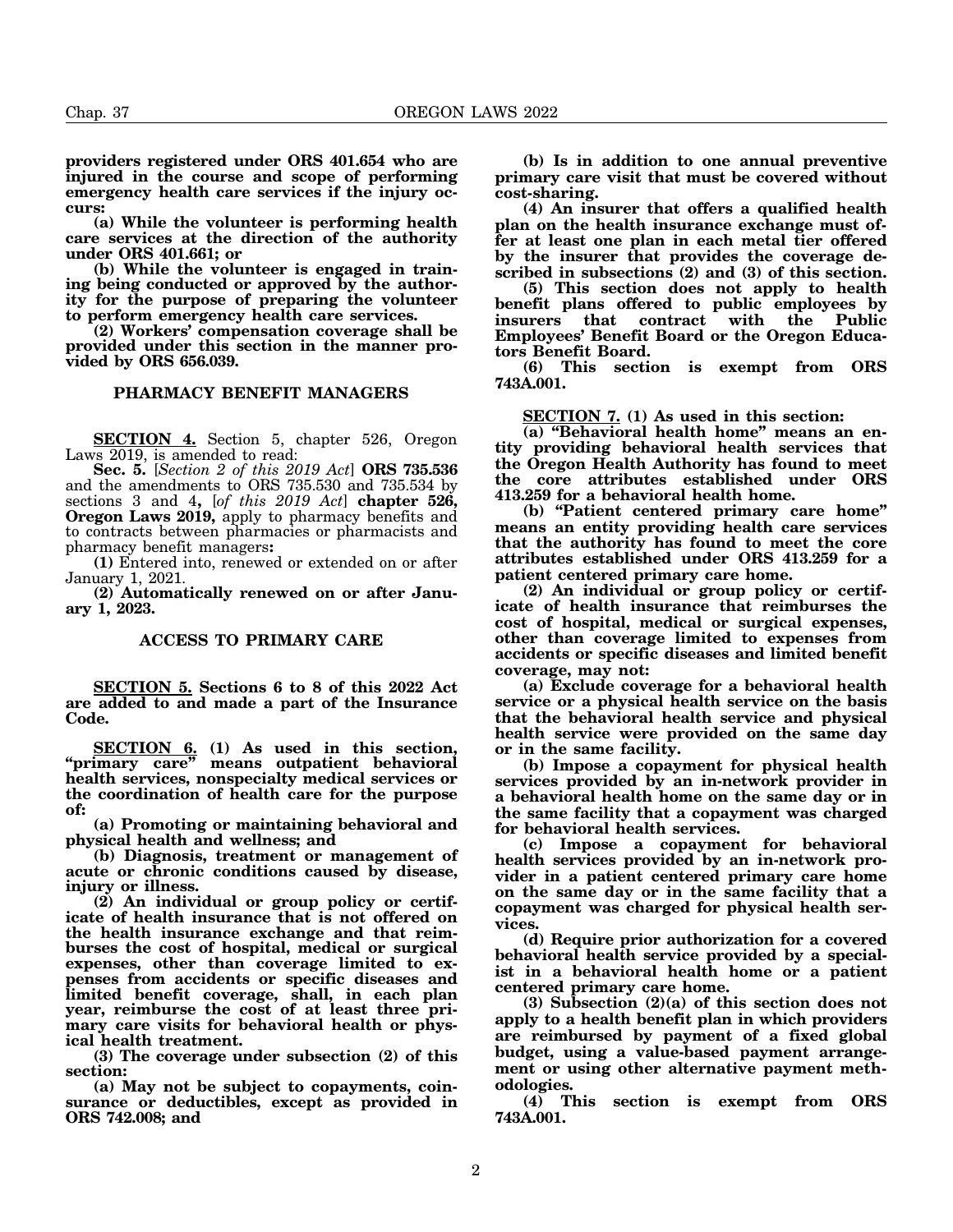**providers registered under ORS 401.654 who are injured in the course and scope of performing emergency health care services if the injury occurs:**

**(a) While the volunteer is performing health care services at the direction of the authority under ORS 401.661; or**

**(b) While the volunteer is engaged in training being conducted or approved by the authority for the purpose of preparing the volunteer to perform emergency health care services.**

**(2) Workers' compensation coverage shall be provided under this section in the manner provided by ORS 656.039.**

## **PHARMACY BENEFIT MANAGERS**

**SECTION 4.** Section 5, chapter 526, Oregon Laws 2019, is amended to read:

**Sec. 5.** [*Section 2 of this 2019 Act*] **ORS 735.536** and the amendments to ORS 735.530 and 735.534 by sections 3 and 4**,** [*of this 2019 Act*] **chapter 526, Oregon Laws 2019,** apply to pharmacy benefits and to contracts between pharmacies or pharmacists and pharmacy benefit managers**:**

**(1)** Entered into, renewed or extended on or after January 1, 2021.

**(2) Automatically renewed on or after January 1, 2023.**

### **ACCESS TO PRIMARY CARE**

**SECTION 5. Sections 6 to 8 of this 2022 Act are added to and made a part of the Insurance Code.**

**SECTION 6. (1) As used in this section, "primary care" means outpatient behavioral health services, nonspecialty medical services or the coordination of health care for the purpose of:**

**(a) Promoting or maintaining behavioral and physical health and wellness; and**

**(b) Diagnosis, treatment or management of acute or chronic conditions caused by disease, injury or illness.**

**(2) An individual or group policy or certificate of health insurance that is not offered on the health insurance exchange and that reimburses the cost of hospital, medical or surgical expenses, other than coverage limited to expenses from accidents or specific diseases and limited benefit coverage, shall, in each plan year, reimburse the cost of at least three primary care visits for behavioral health or physical health treatment.**

**(3) The coverage under subsection (2) of this section:**

**(a) May not be subject to copayments, coinsurance or deductibles, except as provided in ORS 742.008; and**

**(b) Is in addition to one annual preventive primary care visit that must be covered without cost-sharing.**

**(4) An insurer that offers a qualified health plan on the health insurance exchange must offer at least one plan in each metal tier offered by the insurer that provides the coverage described in subsections (2) and (3) of this section.**

**(5) This section does not apply to health benefit plans offered to public employees by insurers that contract with the Public Employees' Benefit Board or the Oregon Educators Benefit Board.**

**(6) This section is exempt from ORS 743A.001.**

**SECTION 7. (1) As used in this section:**

**(a) "Behavioral health home" means an entity providing behavioral health services that the Oregon Health Authority has found to meet the core attributes established under ORS 413.259 for a behavioral health home.**

**(b) "Patient centered primary care home" means an entity providing health care services that the authority has found to meet the core attributes established under ORS 413.259 for a patient centered primary care home.**

**(2) An individual or group policy or certificate of health insurance that reimburses the cost of hospital, medical or surgical expenses, other than coverage limited to expenses from accidents or specific diseases and limited benefit coverage, may not:**

**(a) Exclude coverage for a behavioral health service or a physical health service on the basis that the behavioral health service and physical health service were provided on the same day or in the same facility.**

**(b) Impose a copayment for physical health services provided by an in-network provider in a behavioral health home on the same day or in the same facility that a copayment was charged for behavioral health services.**

**(c) Impose a copayment for behavioral health services provided by an in-network provider in a patient centered primary care home on the same day or in the same facility that a copayment was charged for physical health services.**

**(d) Require prior authorization for a covered behavioral health service provided by a specialist in a behavioral health home or a patient centered primary care home.**

**(3) Subsection (2)(a) of this section does not apply to a health benefit plan in which providers are reimbursed by payment of a fixed global budget, using a value-based payment arrangement or using other alternative payment methodologies.**

**(4) This section is exempt from ORS 743A.001.**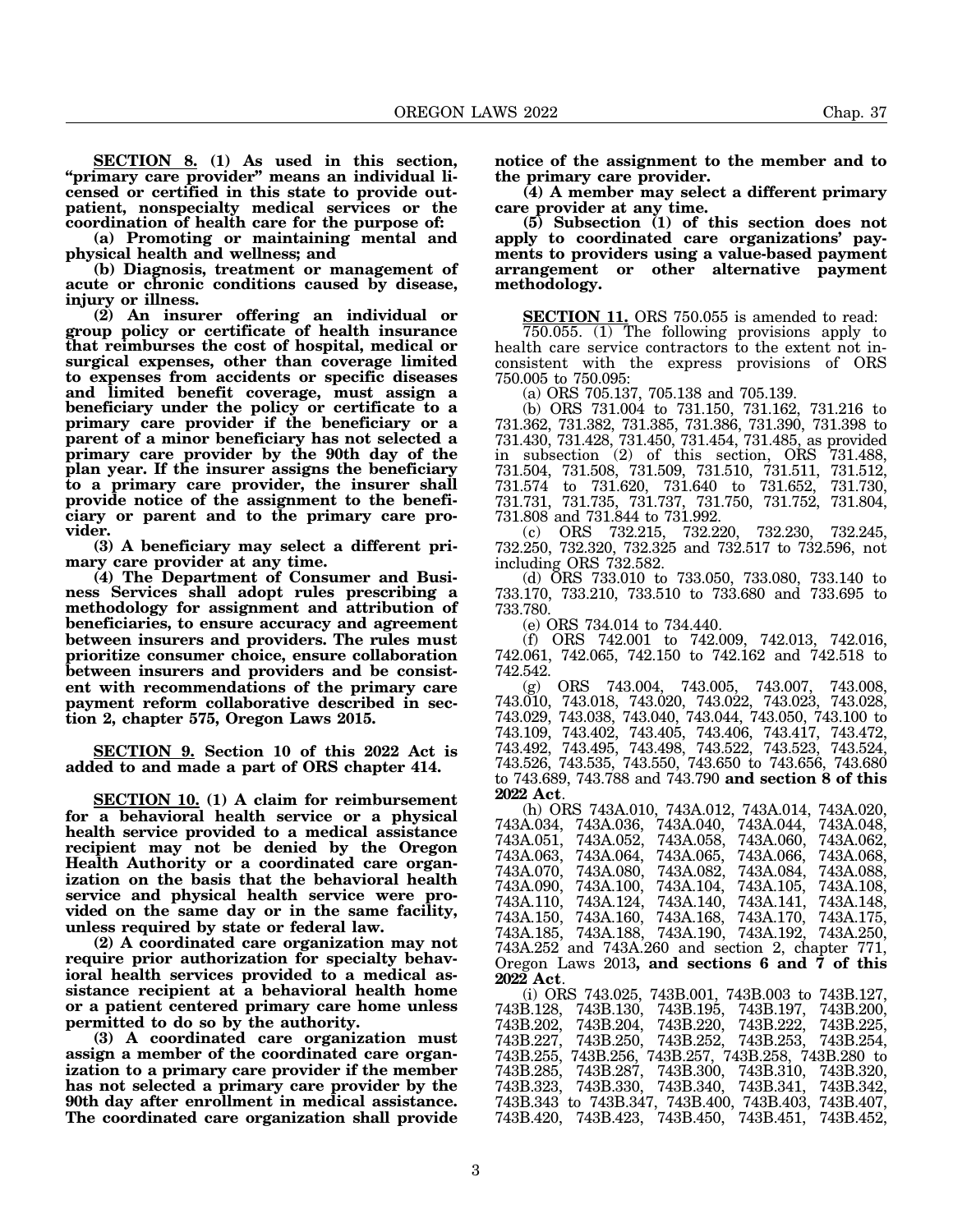**SECTION 8. (1) As used in this section, "primary care provider" means an individual licensed or certified in this state to provide outpatient, nonspecialty medical services or the**

**coordination of health care for the purpose of: (a) Promoting or maintaining mental and physical health and wellness; and**

**(b) Diagnosis, treatment or management of acute or chronic conditions caused by disease, injury or illness.**

**(2) An insurer offering an individual or group policy or certificate of health insurance that reimburses the cost of hospital, medical or surgical expenses, other than coverage limited to expenses from accidents or specific diseases and limited benefit coverage, must assign a beneficiary under the policy or certificate to a primary care provider if the beneficiary or a parent of a minor beneficiary has not selected a primary care provider by the 90th day of the plan year. If the insurer assigns the beneficiary to a primary care provider, the insurer shall provide notice of the assignment to the beneficiary or parent and to the primary care provider.**

**(3) A beneficiary may select a different primary care provider at any time.**

**(4) The Department of Consumer and Business Services shall adopt rules prescribing a methodology for assignment and attribution of beneficiaries, to ensure accuracy and agreement between insurers and providers. The rules must prioritize consumer choice, ensure collaboration between insurers and providers and be consistent with recommendations of the primary care payment reform collaborative described in section 2, chapter 575, Oregon Laws 2015.**

**SECTION 9. Section 10 of this 2022 Act is added to and made a part of ORS chapter 414.**

**SECTION 10. (1) A claim for reimbursement for a behavioral health service or a physical health service provided to a medical assistance recipient may not be denied by the Oregon Health Authority or a coordinated care organization on the basis that the behavioral health service and physical health service were provided on the same day or in the same facility, unless required by state or federal law.**

**(2) A coordinated care organization may not require prior authorization for specialty behavioral health services provided to a medical assistance recipient at a behavioral health home or a patient centered primary care home unless permitted to do so by the authority.**

**(3) A coordinated care organization must assign a member of the coordinated care organization to a primary care provider if the member has not selected a primary care provider by the 90th day after enrollment in medical assistance. The coordinated care organization shall provide** **notice of the assignment to the member and to the primary care provider.**

**(4) A member may select a different primary care provider at any time.**

**(5) Subsection (1) of this section does not apply to coordinated care organizations' payments to providers using a value-based payment arrangement or other alternative payment methodology.**

**SECTION 11.** ORS 750.055 is amended to read:

750.055. (1) The following provisions apply to health care service contractors to the extent not inconsistent with the express provisions of ORS 750.005 to 750.095:

(a) ORS 705.137, 705.138 and 705.139.

(b) ORS 731.004 to 731.150, 731.162, 731.216 to 731.362, 731.382, 731.385, 731.386, 731.390, 731.398 to 731.430, 731.428, 731.450, 731.454, 731.485, as provided in subsection (2) of this section, ORS 731.488, 731.504, 731.508, 731.509, 731.510, 731.511, 731.512, 731.574 to 731.620, 731.640 to 731.652, 731.730, 731.731, 731.735, 731.737, 731.750, 731.752, 731.804, 731.808 and 731.844 to 731.992.

(c) ORS 732.215, 732.220, 732.230, 732.245, 732.250, 732.320, 732.325 and 732.517 to 732.596, not including ORS 732.582.

(d) ORS 733.010 to 733.050, 733.080, 733.140 to 733.170, 733.210, 733.510 to 733.680 and 733.695 to 733.780.

(e) ORS 734.014 to 734.440.

(f) ORS 742.001 to 742.009, 742.013, 742.016, 742.061, 742.065, 742.150 to 742.162 and 742.518 to 742.542.

(g) ORS 743.004, 743.005, 743.007, 743.008, 743.010, 743.018, 743.020, 743.022, 743.023, 743.028, 743.029, 743.038, 743.040, 743.044, 743.050, 743.100 to 743.109, 743.402, 743.405, 743.406, 743.417, 743.472, 743.492, 743.495, 743.498, 743.522, 743.523, 743.524, 743.526, 743.535, 743.550, 743.650 to 743.656, 743.680 to 743.689, 743.788 and 743.790 **and section 8 of this**

**2022 Act**. (h) ORS 743A.010, 743A.012, 743A.014, 743A.020, 743A.034, 743A.036, 743A.040, 743A.044, 743A.048, 743A.051, 743A.052, 743A.058, 743A.060, 743A.062, 743A.063, 743A.064, 743A.065, 743A.066, 743A.068, 743A.070, 743A.080, 743A.082, 743A.084, 743A.088, 743A.070,<br>743A.090, 743A.110, 743A.124, 743A.140, 743A.141, 743A.148, 743A.150, 743A.160, 743A.168, 743A.185, 743A.188, 743A.190, 743A.192, 743A.250, 743A.252 and 743A.260 and section 2, chapter 771, Oregon Laws 2013**, and sections 6 and 7 of this**

**2022 Act**. (i) ORS 743.025, 743B.001, 743B.003 to 743B.127, 743B.130, 743B.195, 743B.197, 743B.200,<br>743B.204, 743B.220, 743B.222, 743B.225, 743B.202, 743B.204, 743B.220, 743B.222, 743B.225, 743B.227, 743B.250, 743B.252, 743B.253, 743B.254, 743B.255, 743B.256, 743B.257, 743B.258, 743B.280 to 743B.285, 743B.287, 743B.300, 743B.310, 743B.320, 743B.323, 743B.330, 743B.340, 743B.341, 743B.342, 743B.343 to 743B.347, 743B.400, 743B.403, 743B.407, 743B.420, 743B.423, 743B.450, 743B.451, 743B.452,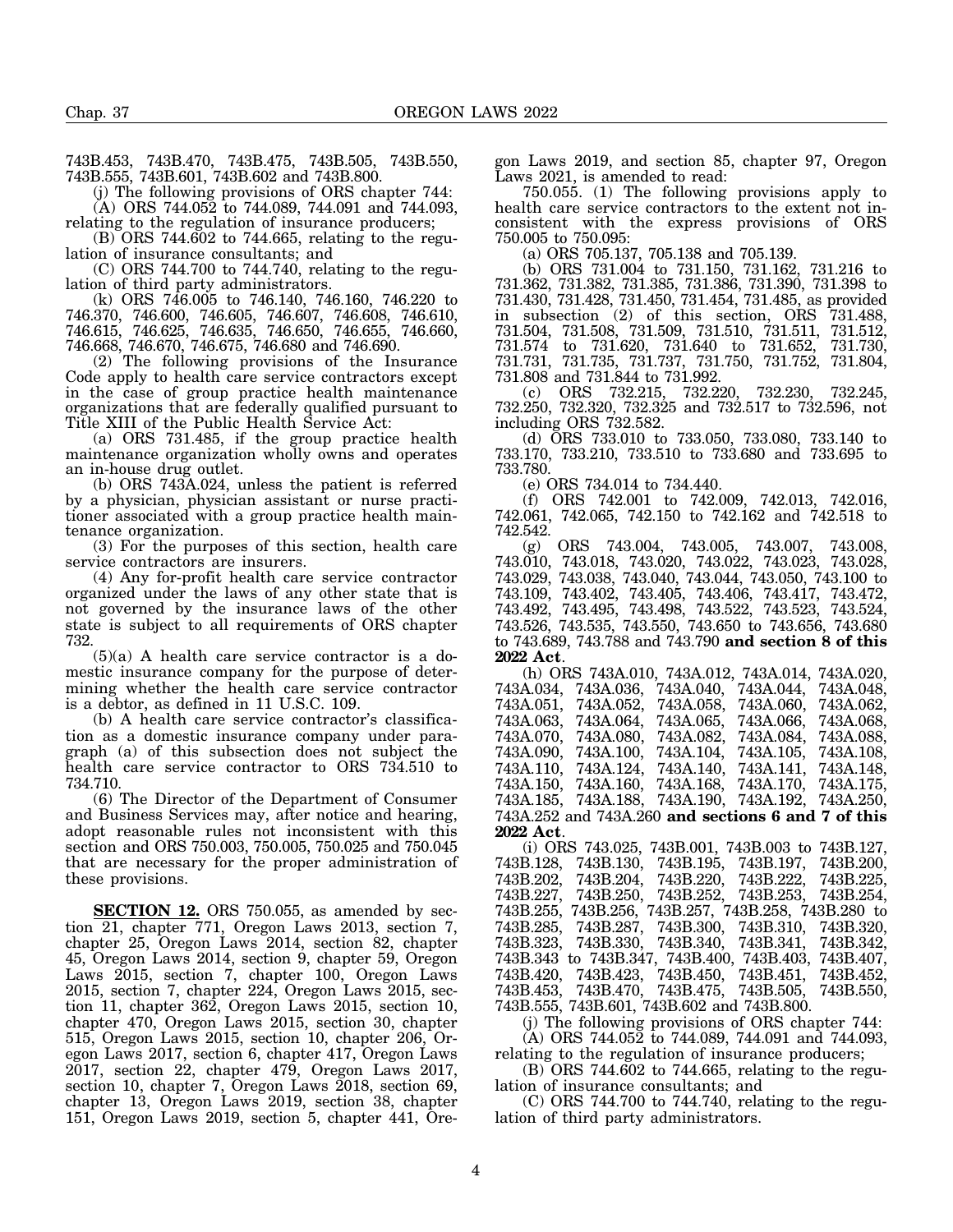743B.453, 743B.470, 743B.475, 743B.505, 743B.550, 743B.555, 743B.601, 743B.602 and 743B.800.

(j) The following provisions of ORS chapter 744: (A) ORS 744.052 to 744.089, 744.091 and 744.093,

relating to the regulation of insurance producers; (B) ORS 744.602 to 744.665, relating to the regulation of insurance consultants; and

(C) ORS 744.700 to 744.740, relating to the regulation of third party administrators.

(k) ORS 746.005 to 746.140, 746.160, 746.220 to 746.370, 746.600, 746.605, 746.607, 746.608, 746.610, 746.615, 746.625, 746.635, 746.650, 746.655, 746.660, 746.668, 746.670, 746.675, 746.680 and 746.690.

(2) The following provisions of the Insurance Code apply to health care service contractors except in the case of group practice health maintenance organizations that are federally qualified pursuant to Title XIII of the Public Health Service Act:

(a) ORS 731.485, if the group practice health maintenance organization wholly owns and operates an in-house drug outlet.

(b) ORS 743A.024, unless the patient is referred by a physician, physician assistant or nurse practitioner associated with a group practice health maintenance organization.

(3) For the purposes of this section, health care service contractors are insurers.

(4) Any for-profit health care service contractor organized under the laws of any other state that is not governed by the insurance laws of the other state is subject to all requirements of ORS chapter 732.

 $(5)(a)$  A health care service contractor is a domestic insurance company for the purpose of determining whether the health care service contractor is a debtor, as defined in 11 U.S.C. 109.

(b) A health care service contractor's classification as a domestic insurance company under paragraph (a) of this subsection does not subject the health care service contractor to ORS 734.510 to 734.710.

(6) The Director of the Department of Consumer and Business Services may, after notice and hearing, adopt reasonable rules not inconsistent with this section and ORS 750.003, 750.005, 750.025 and 750.045 that are necessary for the proper administration of these provisions.

**SECTION 12.** ORS 750.055, as amended by section 21, chapter 771, Oregon Laws 2013, section 7, chapter 25, Oregon Laws 2014, section 82, chapter 45, Oregon Laws 2014, section 9, chapter 59, Oregon Laws 2015, section 7, chapter 100, Oregon Laws 2015, section 7, chapter 224, Oregon Laws 2015, section 11, chapter 362, Oregon Laws 2015, section 10, chapter 470, Oregon Laws 2015, section 30, chapter 515, Oregon Laws 2015, section 10, chapter 206, Oregon Laws 2017, section 6, chapter 417, Oregon Laws 2017, section 22, chapter 479, Oregon Laws 2017, section 10, chapter 7, Oregon Laws 2018, section 69, chapter 13, Oregon Laws 2019, section 38, chapter 151, Oregon Laws 2019, section 5, chapter 441, Oregon Laws 2019, and section 85, chapter 97, Oregon Laws 2021, is amended to read:

750.055. (1) The following provisions apply to health care service contractors to the extent not inconsistent with the express provisions of ORS 750.005 to 750.095:

(a) ORS 705.137, 705.138 and 705.139.

(b) ORS 731.004 to 731.150, 731.162, 731.216 to 731.362, 731.382, 731.385, 731.386, 731.390, 731.398 to 731.430, 731.428, 731.450, 731.454, 731.485, as provided in subsection (2) of this section, ORS 731.488, 731.504, 731.508, 731.509, 731.510, 731.511, 731.512, 731.574 to 731.620, 731.640 to 731.652, 731.730, 731.731, 731.735, 731.737, 731.750, 731.752, 731.804, 731.808 and 731.844 to 731.992.

(c) ORS 732.215, 732.220, 732.230, 732.245, 732.250, 732.320, 732.325 and 732.517 to 732.596, not including ORS 732.582.

(d) ORS 733.010 to 733.050, 733.080, 733.140 to 733.170, 733.210, 733.510 to 733.680 and 733.695 to 733.780.

(e) ORS 734.014 to 734.440.

(f) ORS 742.001 to 742.009, 742.013, 742.016, 742.061, 742.065, 742.150 to 742.162 and 742.518 to 742.542.

(g) ORS 743.004, 743.005, 743.007, 743.008, 743.010, 743.018, 743.020, 743.022, 743.023, 743.028, 743.029, 743.038, 743.040, 743.044, 743.050, 743.100 to 743.109, 743.402, 743.405, 743.406, 743.417, 743.472, 743.492, 743.495, 743.498, 743.522, 743.523, 743.524, 743.526, 743.535, 743.550, 743.650 to 743.656, 743.680 to 743.689, 743.788 and 743.790 **and section 8 of this 2022 Act**.

(h) ORS 743A.010, 743A.012, 743A.014, 743A.020, 743A.034, 743A.036, 743A.040, 743A.044, 743A.048, 743A.051, 743A.052, 743A.058, 743A.060, 743A.062, 743A.063, 743A.064, 743A.065, 743A.066, 743A.068, 743A.070, 743A.080, 743A.082, 743A.084, 743A.088, 743A.090, 743A.100, 743A.104, 743A.105, 743A.108, 743A.110, 743A.124, 743A.140, 743A.141, 743A.148, 743A.150, 743A.160, 743A.168, 743A.185, 743A.188, 743A.190, 743A.192, 743A.250, 743A.252 and 743A.260 **and sections 6 and 7 of this 2022 Act**.

(i) ORS 743.025, 743B.001, 743B.003 to 743B.127, 743B.128, 743B.130, 743B.195, 743B.197, 743B.200, 743B.202, 743B.204, 743B.220, 743B.222, 743B.225, 743B.227, 743B.250, 743B.252, 743B.253, 743B.254, 743B.255, 743B.256, 743B.257, 743B.258, 743B.280 to 743B.285, 743B.287, 743B.300, 743B.310, 743B.320, 743B.323, 743B.330, 743B.340, 743B.341, 743B.342, 743B.343 to 743B.347, 743B.400, 743B.403, 743B.407, 743B.420, 743B.423, 743B.450, 743B.451, 743B.452, 743B.453, 743B.470, 743B.475, 743B.505, 743B.550, 743B.555, 743B.601, 743B.602 and 743B.800.

(j) The following provisions of ORS chapter 744:  $(A)$  ORS 744.052 to 744.089, 744.091 and 744.093,

relating to the regulation of insurance producers;

(B) ORS 744.602 to 744.665, relating to the regulation of insurance consultants; and

(C) ORS 744.700 to 744.740, relating to the regulation of third party administrators.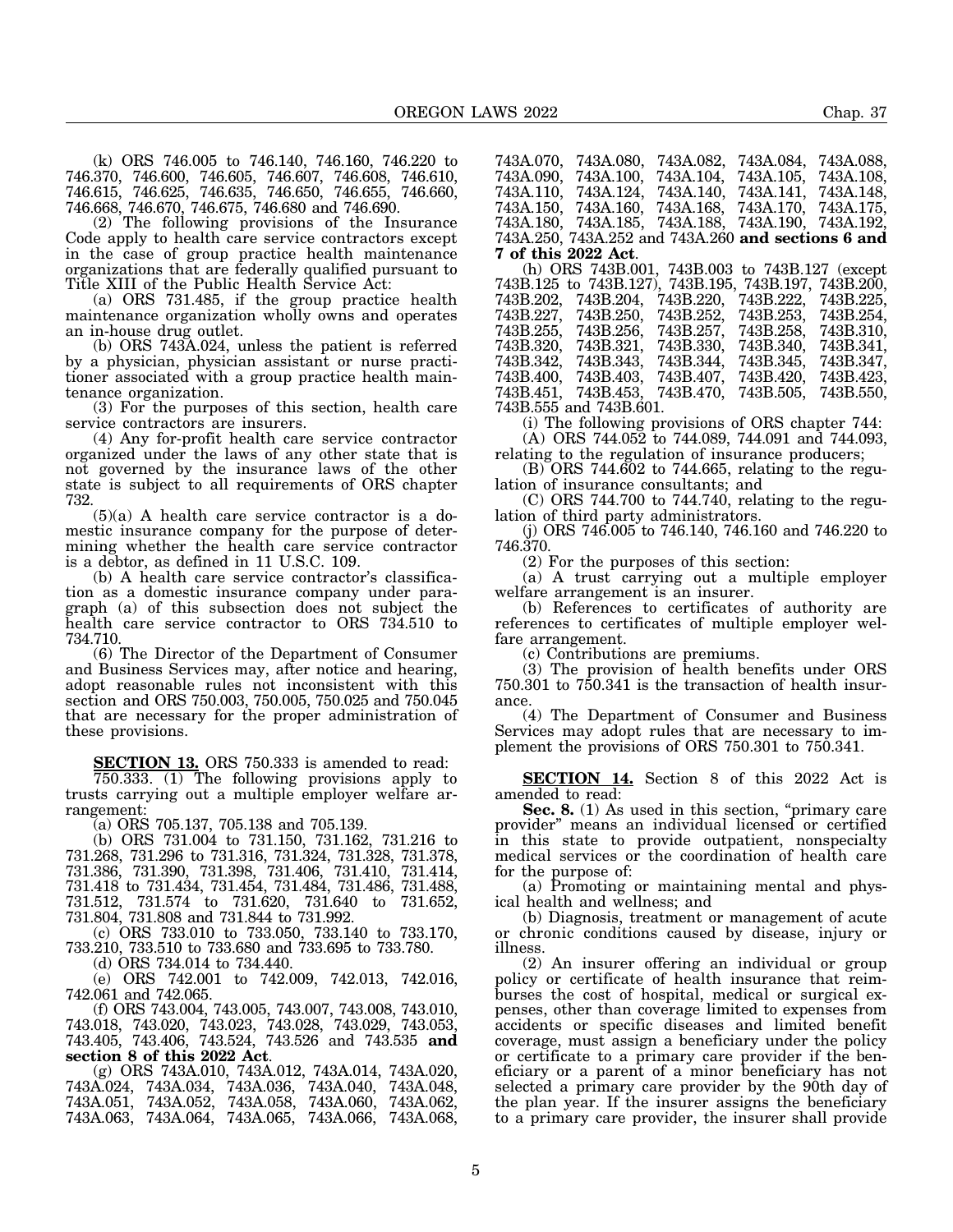(k) ORS 746.005 to 746.140, 746.160, 746.220 to 746.370, 746.600, 746.605, 746.607, 746.608, 746.610, 746.615, 746.625, 746.635, 746.650, 746.655, 746.660, 746.668, 746.670, 746.675, 746.680 and 746.690.

(2) The following provisions of the Insurance Code apply to health care service contractors except in the case of group practice health maintenance organizations that are federally qualified pursuant to Title XIII of the Public Health Service Act:

(a) ORS 731.485, if the group practice health maintenance organization wholly owns and operates an in-house drug outlet.

(b) ORS 743A.024, unless the patient is referred by a physician, physician assistant or nurse practitioner associated with a group practice health maintenance organization.

(3) For the purposes of this section, health care service contractors are insurers.

(4) Any for-profit health care service contractor organized under the laws of any other state that is not governed by the insurance laws of the other state is subject to all requirements of ORS chapter 732.

 $(5)(a)$  A health care service contractor is a domestic insurance company for the purpose of determining whether the health care service contractor is a debtor, as defined in 11 U.S.C. 109.

(b) A health care service contractor's classification as a domestic insurance company under paragraph (a) of this subsection does not subject the health care service contractor to ORS 734.510 to 734.710.

(6) The Director of the Department of Consumer and Business Services may, after notice and hearing, adopt reasonable rules not inconsistent with this section and ORS 750.003, 750.005, 750.025 and 750.045 that are necessary for the proper administration of these provisions.

**SECTION 13.** ORS 750.333 is amended to read:

750.333. (1) The following provisions apply to trusts carrying out a multiple employer welfare arrangement:

(a) ORS 705.137, 705.138 and 705.139.

(b) ORS 731.004 to 731.150, 731.162, 731.216 to 731.268, 731.296 to 731.316, 731.324, 731.328, 731.378, 731.386, 731.390, 731.398, 731.406, 731.410, 731.414, 731.418 to 731.434, 731.454, 731.484, 731.486, 731.488, 731.512, 731.574 to 731.620, 731.640 to 731.652, 731.804, 731.808 and 731.844 to 731.992.

(c) ORS 733.010 to 733.050, 733.140 to 733.170, 733.210, 733.510 to 733.680 and 733.695 to 733.780.

(d) ORS 734.014 to 734.440.

(e) ORS 742.001 to 742.009, 742.013, 742.016, 742.061 and 742.065.

(f) ORS 743.004, 743.005, 743.007, 743.008, 743.010, 743.018, 743.020, 743.023, 743.028, 743.029, 743.053, 743.405, 743.406, 743.524, 743.526 and 743.535 **and**

**section 8 of this 2022 Act**. (g) ORS 743A.010, 743A.012, 743A.014, 743A.020, 743A.024, 743A.034, 743A.036, 743A.040, 743A.048, 743A.051, 743A.052, 743A.058, 743A.060, 743A.062, 743A.063, 743A.064, 743A.065, 743A.066, 743A.068, 743A.070, 743A.080, 743A.082, 743A.084, 743A.088, 743A.100, 743A.110, 743A.124, 743A.140, 743A.141, 743A.148, 743A.150, 743A.160, 743A.168, 743A.170, 743A.175, 743A.180, 743A.185, 743A.188, 743A.190, 743A.192, 743A.250, 743A.252 and 743A.260 **and sections 6 and**

**7 of this 2022 Act**. (h) ORS 743B.001, 743B.003 to 743B.127 (except 743B.125 to 743B.127), 743B.195, 743B.197, 743B.200, 743B.202, 743B.204, 743B.220, 743B.222, 743B.225, 743B.227, 743B.250, 743B.252, 743B.253, 743B.254, 743B.255, 743B.256, 743B.257, 743B.258, 743B.310, 743B.320, 743B.321, 743B.330, 743B.340, 743B.341, 743B.342, 743B.343, 743B.344, 743B.345, 743B.347, 743B.403, 743B.407, 743B.420, 743B.453, 743B.470, 743B.505, 743B.451, 743B.453, 743B.470, 743B.505, 743B.550, 743B.555 and 743B.601.

(i) The following provisions of ORS chapter 744:

(A) ORS 744.052 to 744.089, 744.091 and 744.093,

relating to the regulation of insurance producers;

 $(B)$  ORS 744.602 to 744.665, relating to the regulation of insurance consultants; and

(C) ORS 744.700 to 744.740, relating to the regulation of third party administrators.

(j) ORS 746.005 to 746.140, 746.160 and 746.220 to 746.370.

(2) For the purposes of this section:

(a) A trust carrying out a multiple employer welfare arrangement is an insurer.

(b) References to certificates of authority are references to certificates of multiple employer welfare arrangement.

(c) Contributions are premiums.

(3) The provision of health benefits under ORS 750.301 to 750.341 is the transaction of health insurance.

(4) The Department of Consumer and Business Services may adopt rules that are necessary to implement the provisions of ORS 750.301 to 750.341.

**SECTION 14.** Section 8 of this 2022 Act is amended to read:

**Sec. 8.** (1) As used in this section, "primary care provider" means an individual licensed or certified in this state to provide outpatient, nonspecialty medical services or the coordination of health care for the purpose of:

(a) Promoting or maintaining mental and physical health and wellness; and

(b) Diagnosis, treatment or management of acute or chronic conditions caused by disease, injury or illness.

(2) An insurer offering an individual or group policy or certificate of health insurance that reimburses the cost of hospital, medical or surgical expenses, other than coverage limited to expenses from accidents or specific diseases and limited benefit coverage, must assign a beneficiary under the policy or certificate to a primary care provider if the beneficiary or a parent of a minor beneficiary has not selected a primary care provider by the 90th day of the plan year. If the insurer assigns the beneficiary to a primary care provider, the insurer shall provide